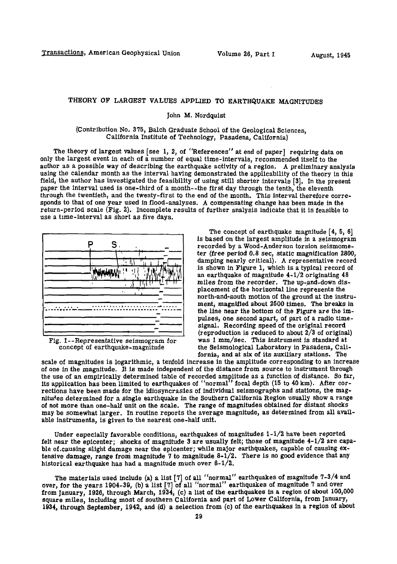## **THEORY OF LARGEST VALUES APPLIED TO EARTHQUAKE MAGNITUDES**

## **John M. Nordqulst**

## **(Contribution No. 375, Balch Graduate School of the Geological Sciences, California Institute of Technology, Pasadena, California)**

**The theory of largest values [see 1, 2, of "References" at end of paper] requiring data on only the largest event in each of a number of equal time-intervals, recommended itself to the author as a possible way of describing the earthquake activity of a region. A preliminary analysis using the calendar month as the interval having demonstrated the applicability of the theory in this field, the author has investigated the feasibility of using still shorter Intervals [3]. In the present**  paper the interval used is one-third of a month--the first day through the tenth, the eleventh **through the twentieth, and the twenty-first to the end of the month. This interval therefore corresponds to that of one year used in flood-analyses. A compensating change has been made in the return-period scale (Fig. 2). Incomplete results of further analysis indicate that it is feasible to use a time-interval as short as five days.** 



**Fig. 1—Representative seismogram for concept of earthquake-magnitude** 

**The concept of earthquake magnitude [4, 5, 6] is based on the largest amplitude in a seismogram recorded by a Wood-Anderson torsion seismometer (free period 0.8 sec, static magnification 2800, damping nearly critical). A representative record is shown in Figure 1, which is a typical record of an earthquake of magnitude 4-1/2 originating 48 miles from the recorder. The up-and-down displacement of the horizontal line represents the north-and-south motion of the ground at the instrument, magnified about 2500 times. The breaks in the line near the bottom of the Figure are the impulses, one second apart, of part of a radio timesignal. Recording speed of the original record (reproduction is reduced to about 2/3 of original) was 1 mm/sec. This instrument is standard at the Seismological Laboratory in Pasadena, California, and at six of its auxiliary stations. The** 

**scale of magnitudes is logarithmic, a tenfold increase in the amplitude corresponding to an increase of one in the magnitude. It is made independent of the distance from source to instrument through the use of an empirically determined table of recorded amplitude as a function of distance. So far, Its application has been limited to earthquakes of "normal focal depth (15 to 40 km). After corrections have been made for the idiosyncrasies of individual seismographs and stations, the magnitudes determined for a single earthquake in the Southern California Region usually show a range of not more than one-half unit on the scale. The range of magnitudes obtained for distant shocks may be somewhat larger. In routine reports the average magnitude, as determined from all available instruments, is given to the nearest one-half unit.** 

**Under especially favorable conditions, earthquakes of magnitudes 1-1/2 have been reported felt near the epicenter; shocks of magnitude 3 are usually felt; those of magnitude 4-1/2 are capa**ble of causing slight damage near the epicenter; while major earthquakes, capable of causing ex**tensive damage, range from magnitude 7 to magnitude 8-1/2. There is no good evidence that any historical earthquake has had a magnitude much over 8-1/2.** 

**The materials used Include (a) a list [7] of all "normal" earthquakes of magnitude 7-3/4 and over, for the years 1904-39, (b) a list [7] of all "normal" earthquakes of magnitude 7 and over from January, 1926, through March, 1934, (c) a list of the earthquakes in a region of about 100,000 square miles, including most of southern California and part of Lower California, from January, 1934, through September, 1942, and (d) a selection from (c) of the earthquakes In a region of about**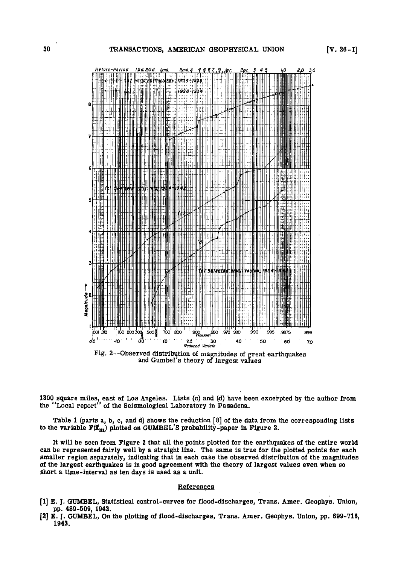

and Gumbel's theory of largest values

**1300 square miles, east of Los Angeles. Lists (c) and (d) have been excerpted by the author from**  the "Local report" of the Seismological Laboratory in Pasadena.

**Table 1 (parts a, b, c, and d) shows the reduction [8] of the data from the corresponding lists**  to the variable  $F(\vec{x}_m)$  plotted on GUMBEL'S probability-paper in Figure 2.

**It will be seen from Figure 2 that all the points plotted for the earthquakes of the entire world can be represented fairly well by a straight line. The same is true for the plotted points for each smaller region separately, indicating that in each case the observed distribution of the magnitudes of the largest earthquakes is in good agreement with the theory of largest values even when so short a time-interval as ten days is used as a unit.** 

## **References**

- **[1] E. J. GUMBEL, Statistical control-curves for flood-discharges, Trans. Amer. Geophys. Union, pp. 489-500, 1942.**
- **[2] E. J. GUMBEL, On the plotting of flood-discharges, Trans. Amer. Geophys. Union, pp. 699-716, 1943.**